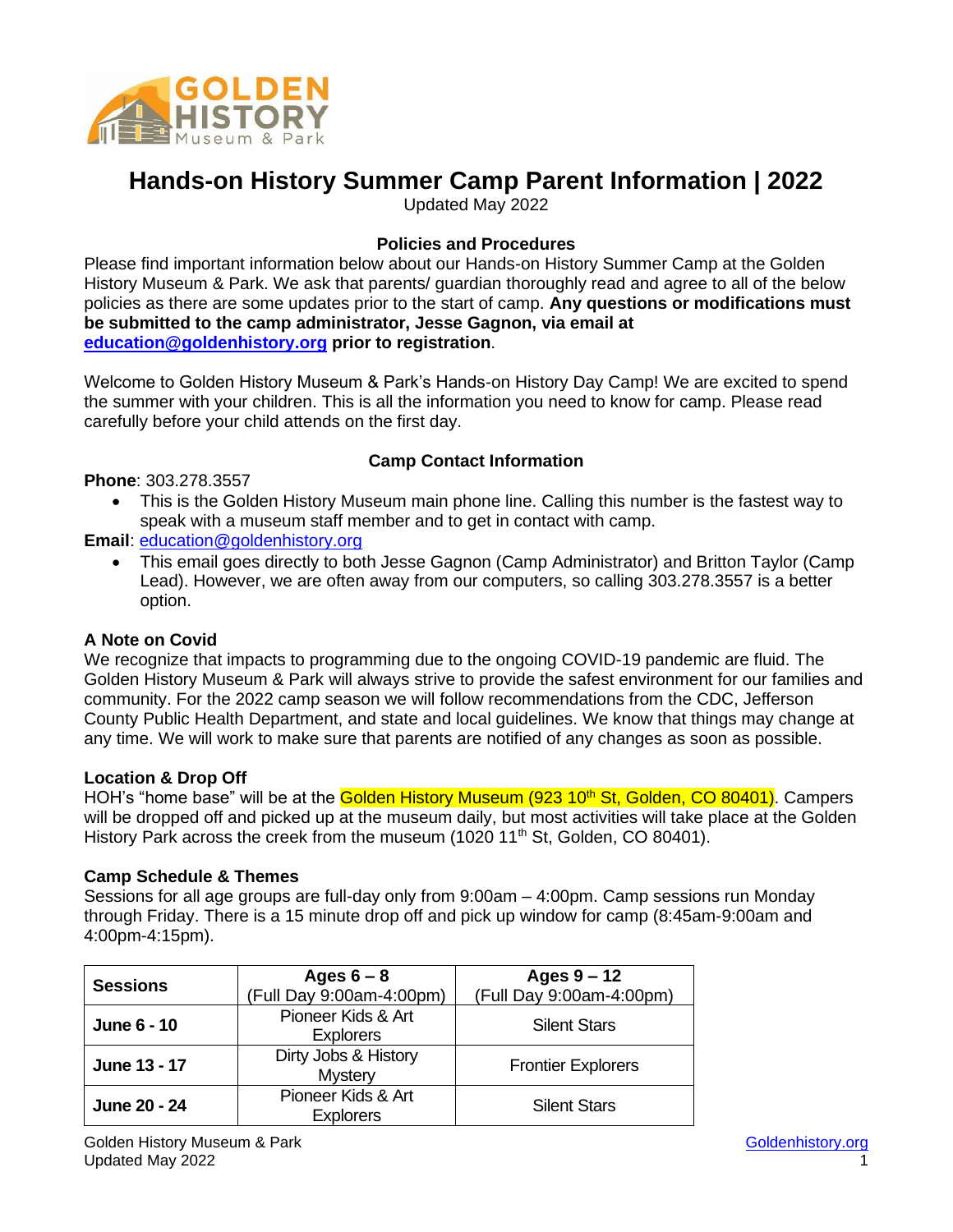

# **Hands-on History Summer Camp Parent Information | 2022**

Updated May 2022

# **Policies and Procedures**

Please find important information below about our Hands-on History Summer Camp at the Golden History Museum & Park. We ask that parents/ guardian thoroughly read and agree to all of the below policies as there are some updates prior to the start of camp. **Any questions or modifications must be submitted to the camp administrator, Jesse Gagnon, via email at [education@goldenhistory.org](mailto:education@goldenhistory.org) prior to registration**.

Welcome to Golden History Museum & Park's Hands-on History Day Camp! We are excited to spend the summer with your children. This is all the information you need to know for camp. Please read carefully before your child attends on the first day.

# **Camp Contact Information**

**Phone**: 303.278.3557

• This is the Golden History Museum main phone line. Calling this number is the fastest way to speak with a museum staff member and to get in contact with camp.

# **Email**: [education@goldenhistory.org](mailto:education@goldenhistory.org)

• This email goes directly to both Jesse Gagnon (Camp Administrator) and Britton Taylor (Camp Lead). However, we are often away from our computers, so calling 303.278.3557 is a better option.

# **A Note on Covid**

We recognize that impacts to programming due to the ongoing COVID-19 pandemic are fluid. The Golden History Museum & Park will always strive to provide the safest environment for our families and community. For the 2022 camp season we will follow recommendations from the CDC, Jefferson County Public Health Department, and state and local guidelines. We know that things may change at any time. We will work to make sure that parents are notified of any changes as soon as possible.

# **Location & Drop Off**

HOH's "home base" will be at the Golden History Museum (923 10<sup>th</sup> St, Golden, CO 80401). Campers will be dropped off and picked up at the museum daily, but most activities will take place at the Golden History Park across the creek from the museum (1020 11<sup>th</sup> St, Golden, CO 80401).

# **Camp Schedule & Themes**

Sessions for all age groups are full-day only from 9:00am – 4:00pm. Camp sessions run Monday through Friday. There is a 15 minute drop off and pick up window for camp (8:45am-9:00am and 4:00pm-4:15pm).

| <b>Sessions</b>    | Ages $6 - 8$             | Ages $9 - 12$             |
|--------------------|--------------------------|---------------------------|
|                    | (Full Day 9:00am-4:00pm) | (Full Day 9:00am-4:00pm)  |
| <b>June 6 - 10</b> | Pioneer Kids & Art       | <b>Silent Stars</b>       |
|                    | <b>Explorers</b>         |                           |
| June 13 - 17       | Dirty Jobs & History     | <b>Frontier Explorers</b> |
|                    | <b>Mystery</b>           |                           |
| June 20 - 24       | Pioneer Kids & Art       | <b>Silent Stars</b>       |
|                    | <b>Explorers</b>         |                           |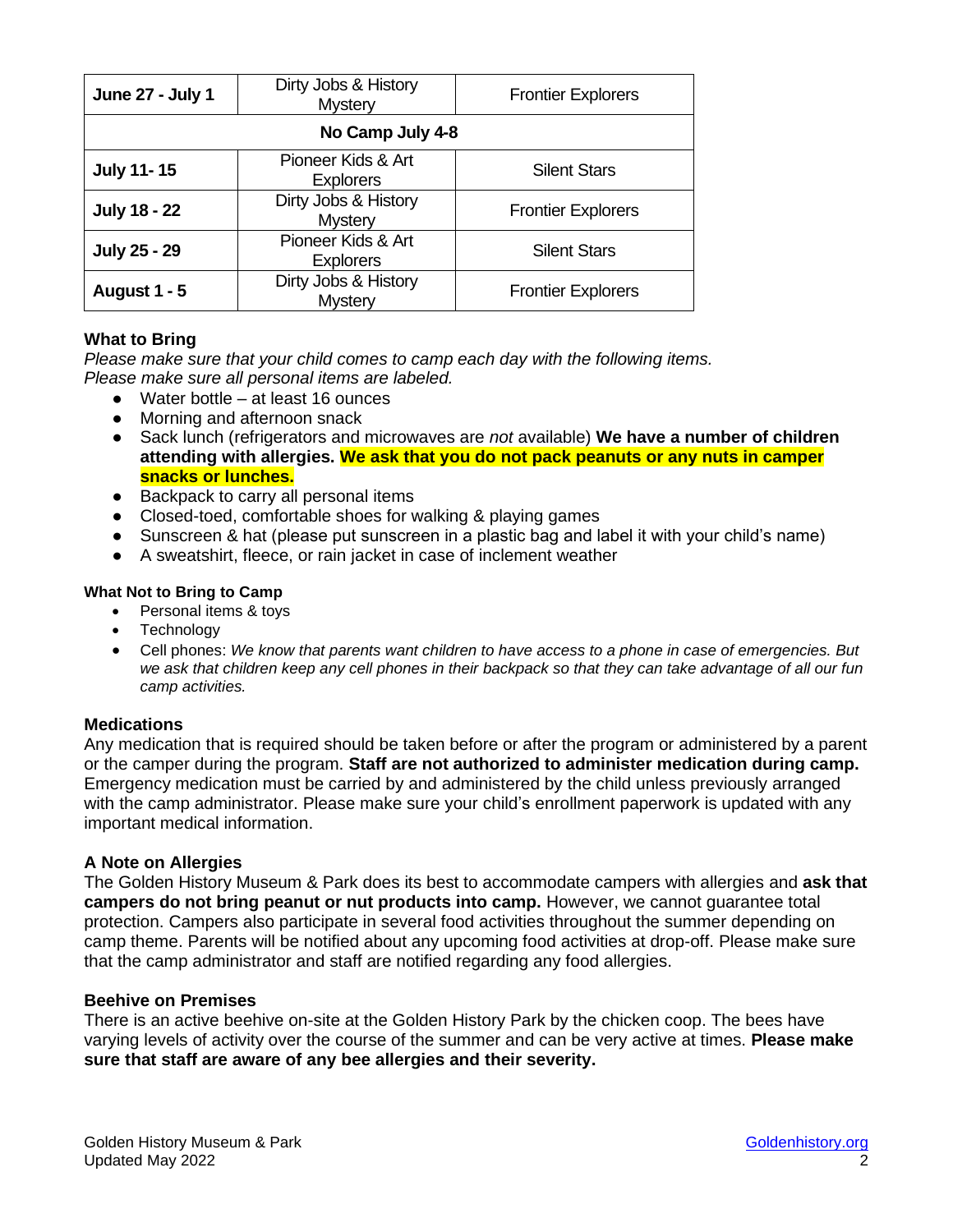| <b>June 27 - July 1</b> | Dirty Jobs & History<br><b>Mystery</b> | <b>Frontier Explorers</b> |  |
|-------------------------|----------------------------------------|---------------------------|--|
| No Camp July 4-8        |                                        |                           |  |
| <b>July 11-15</b>       | Pioneer Kids & Art<br><b>Explorers</b> | <b>Silent Stars</b>       |  |
| <b>July 18 - 22</b>     | Dirty Jobs & History<br><b>Mystery</b> | <b>Frontier Explorers</b> |  |
| <b>July 25 - 29</b>     | Pioneer Kids & Art<br><b>Explorers</b> | <b>Silent Stars</b>       |  |
| <b>August 1 - 5</b>     | Dirty Jobs & History<br><b>Mystery</b> | <b>Frontier Explorers</b> |  |

# **What to Bring**

*Please make sure that your child comes to camp each day with the following items. Please make sure all personal items are labeled.* 

- Water bottle at least 16 ounces
- Morning and afternoon snack
- Sack lunch (refrigerators and microwaves are *not* available) **We have a number of children attending with allergies. We ask that you do not pack peanuts or any nuts in camper snacks or lunches.**
- Backpack to carry all personal items
- Closed-toed, comfortable shoes for walking & playing games
- Sunscreen & hat (please put sunscreen in a plastic bag and label it with your child's name)
- A sweatshirt, fleece, or rain jacket in case of inclement weather

#### **What Not to Bring to Camp**

- Personal items & toys
- Technology
- Cell phones: *We know that parents want children to have access to a phone in case of emergencies. But we ask that children keep any cell phones in their backpack so that they can take advantage of all our fun camp activities.*

# **Medications**

Any medication that is required should be taken before or after the program or administered by a parent or the camper during the program. **Staff are not authorized to administer medication during camp.** Emergency medication must be carried by and administered by the child unless previously arranged with the camp administrator. Please make sure your child's enrollment paperwork is updated with any important medical information.

#### **A Note on Allergies**

The Golden History Museum & Park does its best to accommodate campers with allergies and **ask that campers do not bring peanut or nut products into camp.** However, we cannot guarantee total protection. Campers also participate in several food activities throughout the summer depending on camp theme. Parents will be notified about any upcoming food activities at drop-off. Please make sure that the camp administrator and staff are notified regarding any food allergies.

#### **Beehive on Premises**

There is an active beehive on-site at the Golden History Park by the chicken coop. The bees have varying levels of activity over the course of the summer and can be very active at times. **Please make sure that staff are aware of any bee allergies and their severity.**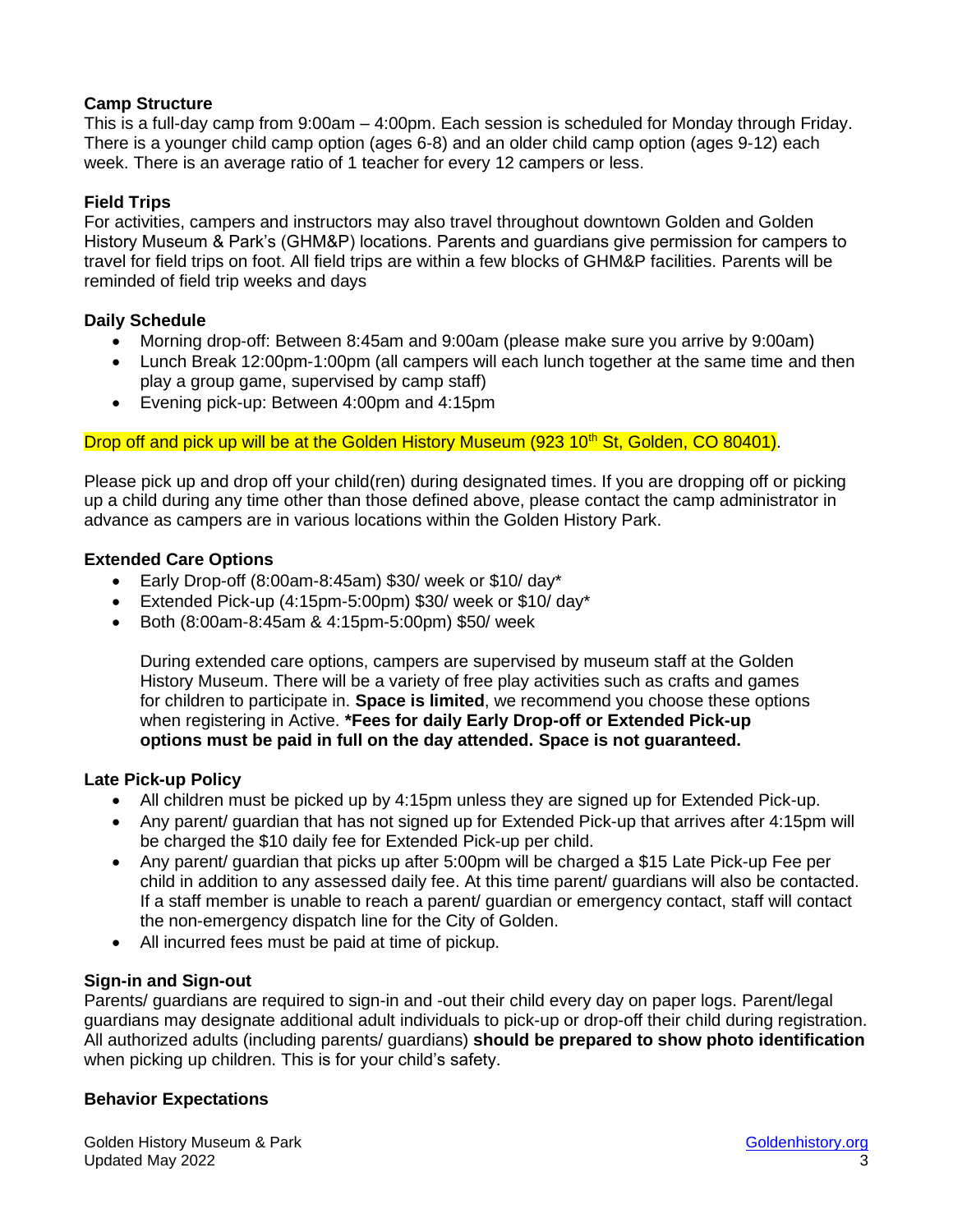# **Camp Structure**

This is a full-day camp from 9:00am – 4:00pm. Each session is scheduled for Monday through Friday. There is a younger child camp option (ages 6-8) and an older child camp option (ages 9-12) each week. There is an average ratio of 1 teacher for every 12 campers or less.

# **Field Trips**

For activities, campers and instructors may also travel throughout downtown Golden and Golden History Museum & Park's (GHM&P) locations. Parents and guardians give permission for campers to travel for field trips on foot. All field trips are within a few blocks of GHM&P facilities. Parents will be reminded of field trip weeks and days

# **Daily Schedule**

- Morning drop-off: Between 8:45am and 9:00am (please make sure you arrive by 9:00am)
- Lunch Break 12:00pm-1:00pm (all campers will each lunch together at the same time and then play a group game, supervised by camp staff)
- Evening pick-up: Between 4:00pm and 4:15pm

# Drop off and pick up will be at the Golden History Museum (923 10<sup>th</sup> St, Golden, CO 80401).

Please pick up and drop off your child(ren) during designated times. If you are dropping off or picking up a child during any time other than those defined above, please contact the camp administrator in advance as campers are in various locations within the Golden History Park.

# **Extended Care Options**

- Early Drop-off (8:00am-8:45am) \$30/ week or \$10/ day\*
- Extended Pick-up (4:15pm-5:00pm) \$30/ week or \$10/ day\*
- Both (8:00am-8:45am & 4:15pm-5:00pm) \$50/ week

During extended care options, campers are supervised by museum staff at the Golden History Museum. There will be a variety of free play activities such as crafts and games for children to participate in. **Space is limited**, we recommend you choose these options when registering in Active. **\*Fees for daily Early Drop-off or Extended Pick-up options must be paid in full on the day attended. Space is not guaranteed.** 

# **Late Pick-up Policy**

- All children must be picked up by 4:15pm unless they are signed up for Extended Pick-up.
- Any parent/ guardian that has not signed up for Extended Pick-up that arrives after 4:15pm will be charged the \$10 daily fee for Extended Pick-up per child.
- Any parent/ guardian that picks up after 5:00pm will be charged a \$15 Late Pick-up Fee per child in addition to any assessed daily fee. At this time parent/ guardians will also be contacted. If a staff member is unable to reach a parent/ guardian or emergency contact, staff will contact the non-emergency dispatch line for the City of Golden.
- All incurred fees must be paid at time of pickup.

# **Sign-in and Sign-out**

Parents/ guardians are required to sign-in and -out their child every day on paper logs. Parent/legal guardians may designate additional adult individuals to pick-up or drop-off their child during registration. All authorized adults (including parents/ guardians) **should be prepared to show photo identification** when picking up children. This is for your child's safety.

# **Behavior Expectations**